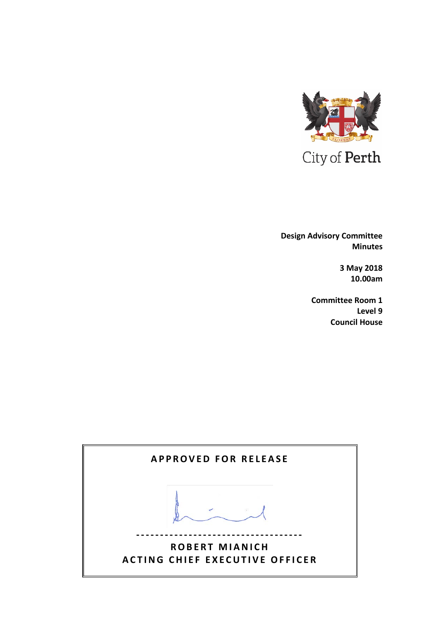

 **Design Advisory Committee Minutes**

> **3 May 2018 10.00am**

**Committee Room 1 Level 9 Council House**

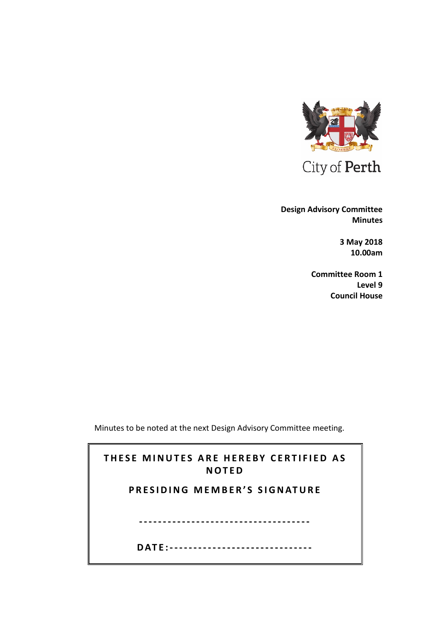

 **Design Advisory Committee Minutes**

> **3 May 2018 10.00am**

**Committee Room 1 Level 9 Council House**

Minutes to be noted at the next Design Advisory Committee meeting.

| THESE MINUTES ARE HEREBY CERTIFIED AS<br><b>NOTED</b> |
|-------------------------------------------------------|
| PRESIDING MEMBER'S SIGNATURE                          |
|                                                       |
|                                                       |
| DATF:----------------------------                     |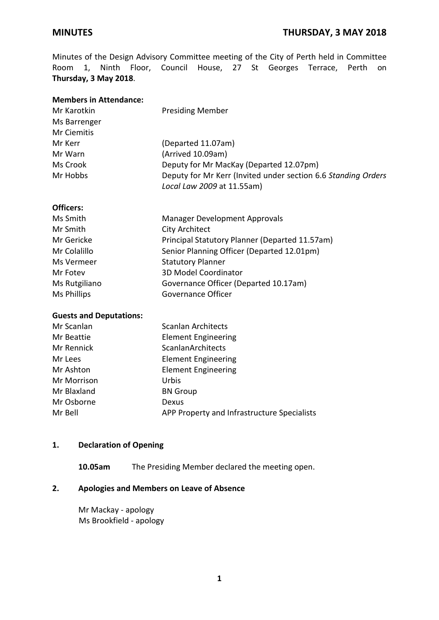Minutes of the Design Advisory Committee meeting of the City of Perth held in Committee Room 1, Ninth Floor, Council House, 27 St Georges Terrace, Perth on **Thursday, 3 May 2018**.

| <b>Members in Attendance:</b>  |                                                               |
|--------------------------------|---------------------------------------------------------------|
| Mr Karotkin                    | <b>Presiding Member</b>                                       |
| Ms Barrenger                   |                                                               |
| <b>Mr Ciemitis</b>             |                                                               |
| Mr Kerr                        | (Departed 11.07am)                                            |
| Mr Warn                        | (Arrived 10.09am)                                             |
| Ms Crook                       | Deputy for Mr MacKay (Departed 12.07pm)                       |
| Mr Hobbs                       | Deputy for Mr Kerr (Invited under section 6.6 Standing Orders |
|                                | Local Law 2009 at 11.55am)                                    |
| <b>Officers:</b>               |                                                               |
| Ms Smith                       | <b>Manager Development Approvals</b>                          |
| Mr Smith                       | <b>City Architect</b>                                         |
| Mr Gericke                     | Principal Statutory Planner (Departed 11.57am)                |
| Mr Colalillo                   | Senior Planning Officer (Departed 12.01pm)                    |
| Ms Vermeer                     | <b>Statutory Planner</b>                                      |
| Mr Fotev                       | 3D Model Coordinator                                          |
| Ms Rutgiliano                  | Governance Officer (Departed 10.17am)                         |
| Ms Phillips                    | Governance Officer                                            |
| <b>Guests and Deputations:</b> |                                                               |
| Mr Scanlan                     | <b>Scanlan Architects</b>                                     |
| Mr Beattie                     | <b>Element Engineering</b>                                    |
| Mr Rennick                     | <b>ScanlanArchitects</b>                                      |
| Mr Lees                        | <b>Element Engineering</b>                                    |
| Mr Ashton                      | <b>Element Engineering</b>                                    |
| Mr Morrison                    | Urbis                                                         |

Mr Osborne Dexus Mr Bell **APP Property and Infrastructure Specialists** 

#### **1. Declaration of Opening**

Mr Blaxland BN Group

**10.05am** The Presiding Member declared the meeting open.

# **2. Apologies and Members on Leave of Absence**

Mr Mackay - apology Ms Brookfield - apology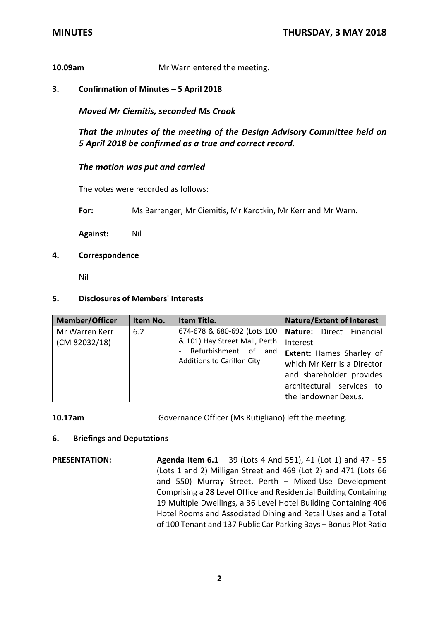# **10.09am** Mr Warn entered the meeting.

**3. Confirmation of Minutes – 5 April 2018**

*Moved Mr Ciemitis, seconded Ms Crook*

*That the minutes of the meeting of the Design Advisory Committee held on 5 April 2018 be confirmed as a true and correct record.*

# *The motion was put and carried*

The votes were recorded as follows:

**For:** Ms Barrenger, Mr Ciemitis, Mr Karotkin, Mr Kerr and Mr Warn.

**Against:** Nil

**4. Correspondence**

Nil

#### **5. Disclosures of Members' Interests**

| <b>Member/Officer</b>                  | Item No. | Item Title.                                                  | <b>Nature/Extent of Interest</b>                                                                                                                |
|----------------------------------------|----------|--------------------------------------------------------------|-------------------------------------------------------------------------------------------------------------------------------------------------|
| Mr Warren Kerr<br>6.2<br>(CM 82032/18) |          | 674-678 & 680-692 (Lots 100<br>& 101) Hay Street Mall, Perth | <b>Nature:</b> Direct Financial<br>Interest                                                                                                     |
|                                        |          | Refurbishment of and<br><b>Additions to Carillon City</b>    | <b>Extent:</b> Hames Sharley of<br>which Mr Kerr is a Director<br>and shareholder provides<br>architectural services to<br>the landowner Dexus. |

**10.17am** Governance Officer (Ms Rutigliano) left the meeting.

#### **6. Briefings and Deputations**

**PRESENTATION: Agenda Item 6.1** – 39 (Lots 4 And 551), 41 (Lot 1) and 47 - 55 (Lots 1 and 2) Milligan Street and 469 (Lot 2) and 471 (Lots 66 and 550) Murray Street, Perth – Mixed-Use Development Comprising a 28 Level Office and Residential Building Containing 19 Multiple Dwellings, a 36 Level Hotel Building Containing 406 Hotel Rooms and Associated Dining and Retail Uses and a Total of 100 Tenant and 137 Public Car Parking Bays – Bonus Plot Ratio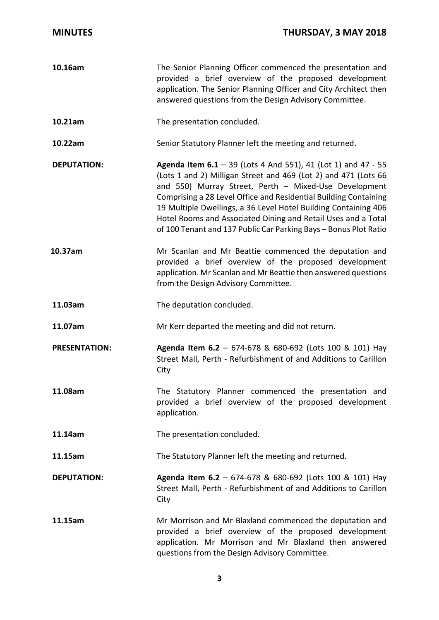| 10.16am              | The Senior Planning Officer commenced the presentation and<br>provided a brief overview of the proposed development<br>application. The Senior Planning Officer and City Architect then<br>answered questions from the Design Advisory Committee.                                                                                                                                                                                                                            |
|----------------------|------------------------------------------------------------------------------------------------------------------------------------------------------------------------------------------------------------------------------------------------------------------------------------------------------------------------------------------------------------------------------------------------------------------------------------------------------------------------------|
| 10.21am              | The presentation concluded.                                                                                                                                                                                                                                                                                                                                                                                                                                                  |
| 10.22am              | Senior Statutory Planner left the meeting and returned.                                                                                                                                                                                                                                                                                                                                                                                                                      |
| <b>DEPUTATION:</b>   | <b>Agenda Item 6.1</b> - 39 (Lots 4 And 551), 41 (Lot 1) and 47 - 55<br>(Lots 1 and 2) Milligan Street and 469 (Lot 2) and 471 (Lots 66<br>and 550) Murray Street, Perth - Mixed-Use Development<br>Comprising a 28 Level Office and Residential Building Containing<br>19 Multiple Dwellings, a 36 Level Hotel Building Containing 406<br>Hotel Rooms and Associated Dining and Retail Uses and a Total<br>of 100 Tenant and 137 Public Car Parking Bays - Bonus Plot Ratio |
| 10.37am              | Mr Scanlan and Mr Beattie commenced the deputation and<br>provided a brief overview of the proposed development<br>application. Mr Scanlan and Mr Beattie then answered questions<br>from the Design Advisory Committee.                                                                                                                                                                                                                                                     |
| 11.03am              | The deputation concluded.                                                                                                                                                                                                                                                                                                                                                                                                                                                    |
| 11.07am              | Mr Kerr departed the meeting and did not return.                                                                                                                                                                                                                                                                                                                                                                                                                             |
| <b>PRESENTATION:</b> | Agenda Item 6.2 - 674-678 & 680-692 (Lots 100 & 101) Hay<br>Street Mall, Perth - Refurbishment of and Additions to Carillon<br>City                                                                                                                                                                                                                                                                                                                                          |
| 11.08am              | The Statutory Planner commenced the presentation and<br>provided a brief overview of the proposed development<br>application.                                                                                                                                                                                                                                                                                                                                                |
| 11.14am              | The presentation concluded.                                                                                                                                                                                                                                                                                                                                                                                                                                                  |
| 11.15am              | The Statutory Planner left the meeting and returned.                                                                                                                                                                                                                                                                                                                                                                                                                         |
| <b>DEPUTATION:</b>   | Agenda Item 6.2 - 674-678 & 680-692 (Lots 100 & 101) Hay<br>Street Mall, Perth - Refurbishment of and Additions to Carillon<br>City                                                                                                                                                                                                                                                                                                                                          |
| 11.15am              | Mr Morrison and Mr Blaxland commenced the deputation and<br>provided a brief overview of the proposed development<br>application. Mr Morrison and Mr Blaxland then answered<br>questions from the Design Advisory Committee.                                                                                                                                                                                                                                                 |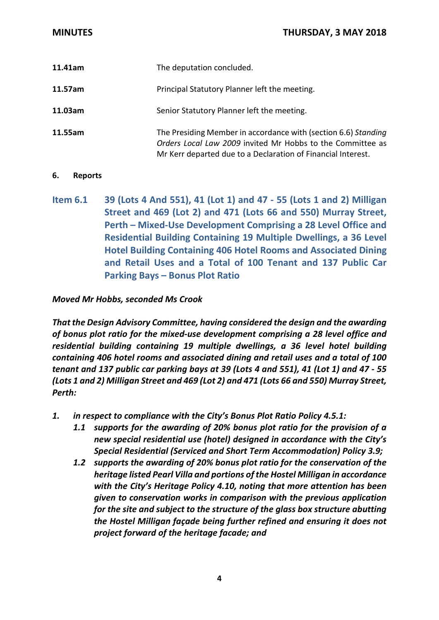| 11.41am | The deputation concluded.                                                                                                                                                                    |
|---------|----------------------------------------------------------------------------------------------------------------------------------------------------------------------------------------------|
| 11.57am | Principal Statutory Planner left the meeting.                                                                                                                                                |
| 11.03am | Senior Statutory Planner left the meeting.                                                                                                                                                   |
| 11.55am | The Presiding Member in accordance with (section 6.6) Standing<br>Orders Local Law 2009 invited Mr Hobbs to the Committee as<br>Mr Kerr departed due to a Declaration of Financial Interest. |

#### **6. Reports**

**Item 6.1 39 (Lots 4 And 551), 41 (Lot 1) and 47 - 55 (Lots 1 and 2) Milligan Street and 469 (Lot 2) and 471 (Lots 66 and 550) Murray Street, Perth – Mixed-Use Development Comprising a 28 Level Office and Residential Building Containing 19 Multiple Dwellings, a 36 Level Hotel Building Containing 406 Hotel Rooms and Associated Dining and Retail Uses and a Total of 100 Tenant and 137 Public Car Parking Bays – Bonus Plot Ratio**

# *Moved Mr Hobbs, seconded Ms Crook*

*That the Design Advisory Committee, having considered the design and the awarding of bonus plot ratio for the mixed-use development comprising a 28 level office and residential building containing 19 multiple dwellings, a 36 level hotel building containing 406 hotel rooms and associated dining and retail uses and a total of 100 tenant and 137 public car parking bays at 39 (Lots 4 and 551), 41 (Lot 1) and 47 - 55 (Lots 1 and 2) Milligan Street and 469 (Lot 2) and 471 (Lots 66 and 550) Murray Street, Perth:*

- *1. in respect to compliance with the City's Bonus Plot Ratio Policy 4.5.1:*
	- *1.1 supports for the awarding of 20% bonus plot ratio for the provision of a new special residential use (hotel) designed in accordance with the City's Special Residential (Serviced and Short Term Accommodation) Policy 3.9;*
	- *1.2 supports the awarding of 20% bonus plot ratio for the conservation of the heritage listed Pearl Villa and portions of the Hostel Milligan in accordance with the City's Heritage Policy 4.10, noting that more attention has been given to conservation works in comparison with the previous application for the site and subject to the structure of the glass box structure abutting the Hostel Milligan façade being further refined and ensuring it does not project forward of the heritage facade; and*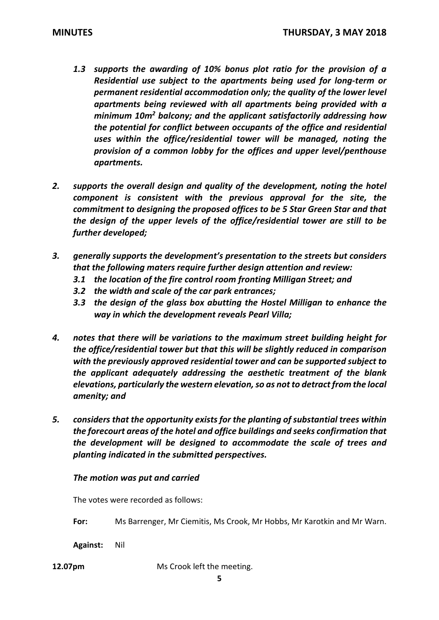- *1.3 supports the awarding of 10% bonus plot ratio for the provision of a Residential use subject to the apartments being used for long-term or permanent residential accommodation only; the quality of the lower level apartments being reviewed with all apartments being provided with a minimum 10m2 balcony; and the applicant satisfactorily addressing how the potential for conflict between occupants of the office and residential uses within the office/residential tower will be managed, noting the provision of a common lobby for the offices and upper level/penthouse apartments.*
- *2. supports the overall design and quality of the development, noting the hotel component is consistent with the previous approval for the site, the commitment to designing the proposed offices to be 5 Star Green Star and that the design of the upper levels of the office/residential tower are still to be further developed;*
- *3. generally supports the development's presentation to the streets but considers that the following maters require further design attention and review:*
	- *3.1 the location of the fire control room fronting Milligan Street; and*
	- *3.2 the width and scale of the car park entrances;*
	- *3.3 the design of the glass box abutting the Hostel Milligan to enhance the way in which the development reveals Pearl Villa;*
- *4. notes that there will be variations to the maximum street building height for the office/residential tower but that this will be slightly reduced in comparison with the previously approved residential tower and can be supported subject to the applicant adequately addressing the aesthetic treatment of the blank elevations, particularly the western elevation, so as not to detract from the local amenity; and*
- *5. considers that the opportunity exists for the planting of substantial trees within the forecourt areas of the hotel and office buildings and seeks confirmation that the development will be designed to accommodate the scale of trees and planting indicated in the submitted perspectives.*

# *The motion was put and carried*

The votes were recorded as follows:

**For:** Ms Barrenger, Mr Ciemitis, Ms Crook, Mr Hobbs, Mr Karotkin and Mr Warn.

**Against:** Nil

**12.07pm** Ms Crook left the meeting.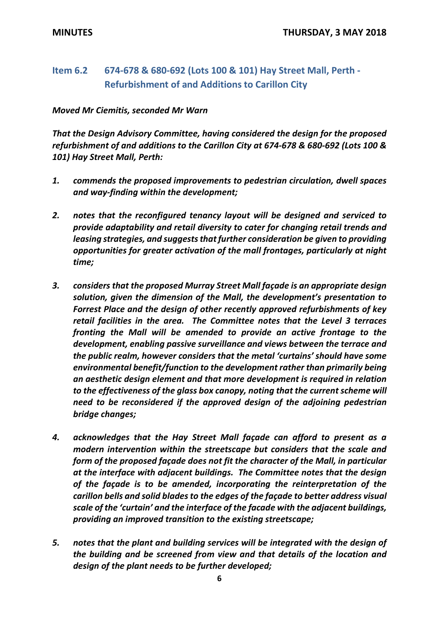# **Item 6.2 674-678 & 680-692 (Lots 100 & 101) Hay Street Mall, Perth - Refurbishment of and Additions to Carillon City**

# *Moved Mr Ciemitis, seconded Mr Warn*

*That the Design Advisory Committee, having considered the design for the proposed refurbishment of and additions to the Carillon City at 674-678 & 680-692 (Lots 100 & 101) Hay Street Mall, Perth:*

- *1. commends the proposed improvements to pedestrian circulation, dwell spaces and way-finding within the development;*
- *2. notes that the reconfigured tenancy layout will be designed and serviced to provide adaptability and retail diversity to cater for changing retail trends and leasing strategies, and suggests that further consideration be given to providing opportunities for greater activation of the mall frontages, particularly at night time;*
- *3. considers that the proposed Murray Street Mall façade is an appropriate design solution, given the dimension of the Mall, the development's presentation to Forrest Place and the design of other recently approved refurbishments of key retail facilities in the area. The Committee notes that the Level 3 terraces fronting the Mall will be amended to provide an active frontage to the development, enabling passive surveillance and views between the terrace and the public realm, however considers that the metal 'curtains' should have some environmental benefit/function to the development rather than primarily being an aesthetic design element and that more development is required in relation to the effectiveness of the glass box canopy, noting that the current scheme will need to be reconsidered if the approved design of the adjoining pedestrian bridge changes;*
- *4. acknowledges that the Hay Street Mall façade can afford to present as a modern intervention within the streetscape but considers that the scale and form of the proposed façade does not fit the character of the Mall, in particular at the interface with adjacent buildings. The Committee notes that the design of the façade is to be amended, incorporating the reinterpretation of the carillon bells and solid blades to the edges of the façade to better address visual scale of the 'curtain' and the interface of the facade with the adjacent buildings, providing an improved transition to the existing streetscape;*
- *5. notes that the plant and building services will be integrated with the design of the building and be screened from view and that details of the location and design of the plant needs to be further developed;*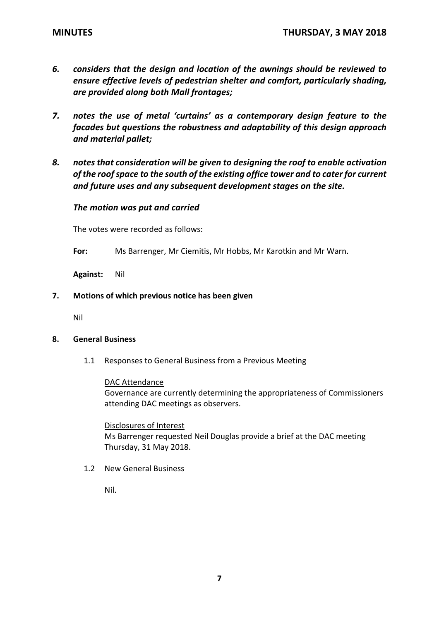- *6. considers that the design and location of the awnings should be reviewed to ensure effective levels of pedestrian shelter and comfort, particularly shading, are provided along both Mall frontages;*
- *7. notes the use of metal 'curtains' as a contemporary design feature to the facades but questions the robustness and adaptability of this design approach and material pallet;*
- *8. notes that consideration will be given to designing the roof to enable activation of the roof space to the south of the existing office tower and to cater for current and future uses and any subsequent development stages on the site.*

# *The motion was put and carried*

The votes were recorded as follows:

**For:** Ms Barrenger, Mr Ciemitis, Mr Hobbs, Mr Karotkin and Mr Warn.

**Against:** Nil

**7. Motions of which previous notice has been given**

Nil

#### **8. General Business**

1.1 Responses to General Business from a Previous Meeting

#### DAC Attendance

Governance are currently determining the appropriateness of Commissioners attending DAC meetings as observers.

Disclosures of Interest Ms Barrenger requested Neil Douglas provide a brief at the DAC meeting Thursday, 31 May 2018.

1.2 New General Business

Nil.